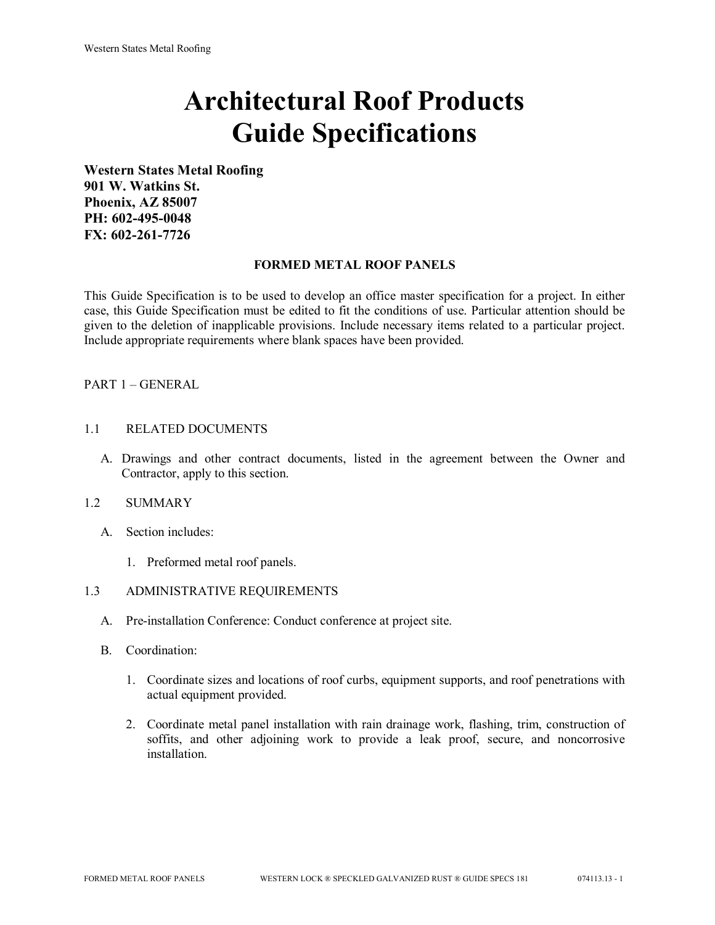# **Architectural Roof Products Guide Specifications**

**Western States Metal Roofing 901 W. Watkins St. Phoenix, AZ 85007 PH: 602-495-0048 FX: 602-261-7726**

# **FORMED METAL ROOF PANELS**

This Guide Specification is to be used to develop an office master specification for a project. In either case, this Guide Specification must be edited to fit the conditions of use. Particular attention should be given to the deletion of inapplicable provisions. Include necessary items related to a particular project. Include appropriate requirements where blank spaces have been provided.

# PART 1 – GENERAL

#### 1.1 RELATED DOCUMENTS

A. Drawings and other contract documents, listed in the agreement between the Owner and Contractor, apply to this section.

#### 1.2 SUMMARY

- A. Section includes:
	- 1. Preformed metal roof panels.

# 1.3 ADMINISTRATIVE REQUIREMENTS

- A. Pre-installation Conference: Conduct conference at project site.
- B. Coordination:
	- 1. Coordinate sizes and locations of roof curbs, equipment supports, and roof penetrations with actual equipment provided.
	- 2. Coordinate metal panel installation with rain drainage work, flashing, trim, construction of soffits, and other adjoining work to provide a leak proof, secure, and noncorrosive installation.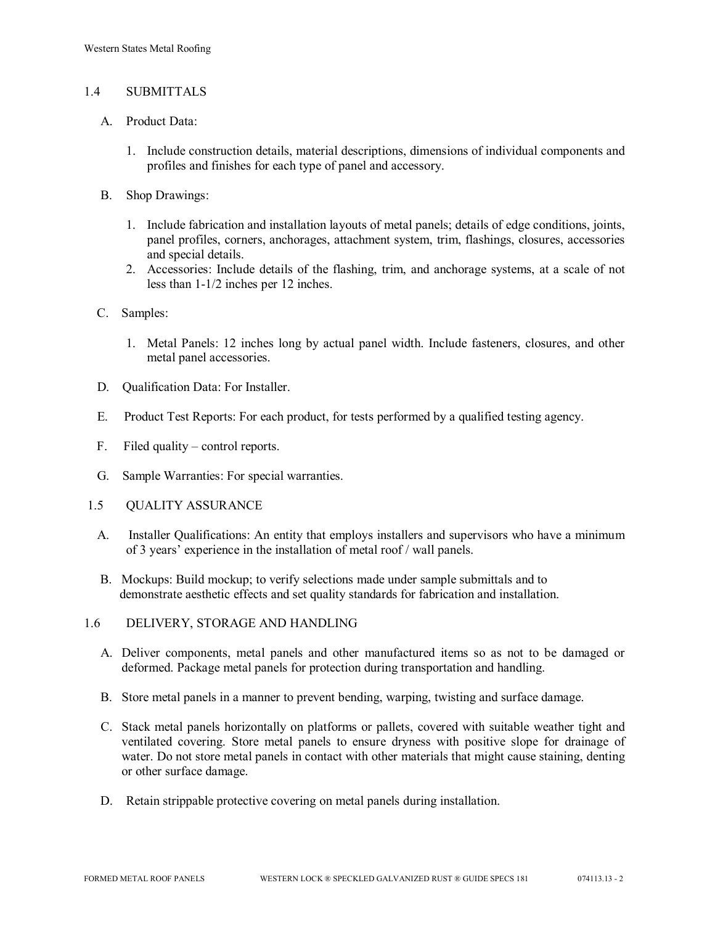## 1.4 SUBMITTALS

- A. Product Data:
	- 1. Include construction details, material descriptions, dimensions of individual components and profiles and finishes for each type of panel and accessory.
- B. Shop Drawings:
	- 1. Include fabrication and installation layouts of metal panels; details of edge conditions, joints, panel profiles, corners, anchorages, attachment system, trim, flashings, closures, accessories and special details.
	- 2. Accessories: Include details of the flashing, trim, and anchorage systems, at a scale of not less than 1-1/2 inches per 12 inches.
- C. Samples:
	- 1. Metal Panels: 12 inches long by actual panel width. Include fasteners, closures, and other metal panel accessories.
- D. Qualification Data: For Installer.
- E. Product Test Reports: For each product, for tests performed by a qualified testing agency.
- F. Filed quality control reports.
- G. Sample Warranties: For special warranties.
- 1.5 QUALITY ASSURANCE
	- A. Installer Qualifications: An entity that employs installers and supervisors who have a minimum of 3 years' experience in the installation of metal roof / wall panels.
	- B. Mockups: Build mockup; to verify selections made under sample submittals and to demonstrate aesthetic effects and set quality standards for fabrication and installation.
- 1.6 DELIVERY, STORAGE AND HANDLING
	- A. Deliver components, metal panels and other manufactured items so as not to be damaged or deformed. Package metal panels for protection during transportation and handling.
	- B. Store metal panels in a manner to prevent bending, warping, twisting and surface damage.
	- C. Stack metal panels horizontally on platforms or pallets, covered with suitable weather tight and ventilated covering. Store metal panels to ensure dryness with positive slope for drainage of water. Do not store metal panels in contact with other materials that might cause staining, denting or other surface damage.
	- D. Retain strippable protective covering on metal panels during installation.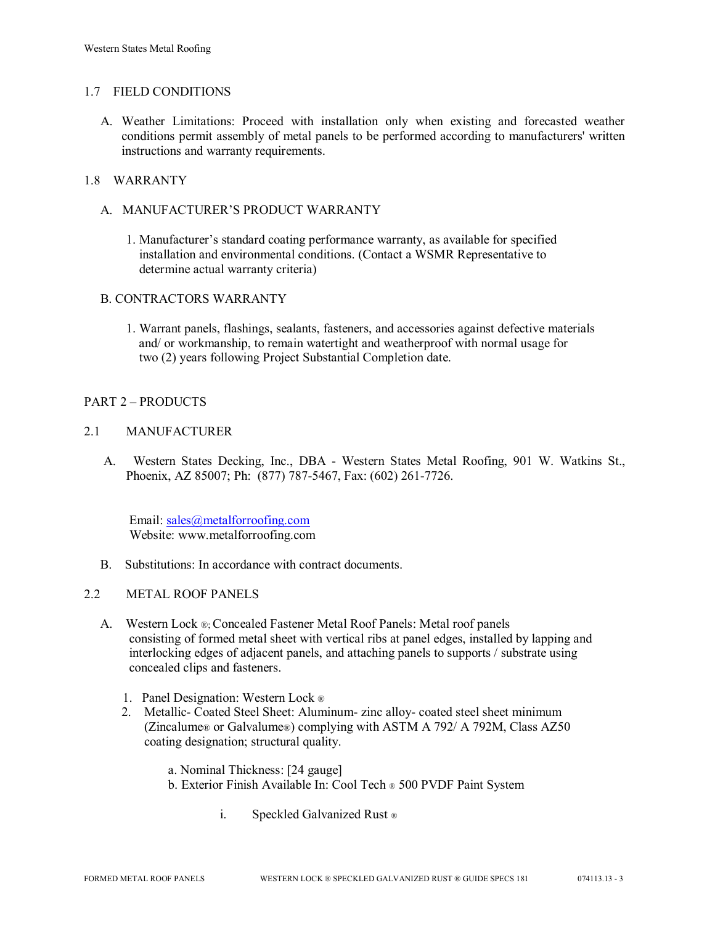## 1.7 FIELD CONDITIONS

A. Weather Limitations: Proceed with installation only when existing and forecasted weather conditions permit assembly of metal panels to be performed according to manufacturers' written instructions and warranty requirements.

## 1.8 WARRANTY

- A. MANUFACTURER'S PRODUCT WARRANTY
	- 1. Manufacturer's standard coating performance warranty, as available for specified installation and environmental conditions. (Contact a WSMR Representative to determine actual warranty criteria)

# B. CONTRACTORS WARRANTY

1. Warrant panels, flashings, sealants, fasteners, and accessories against defective materials and/ or workmanship, to remain watertight and weatherproof with normal usage for two (2) years following Project Substantial Completion date.

# PART 2 – PRODUCTS

## 2.1 MANUFACTURER

 A. Western States Decking, Inc., DBA - Western States Metal Roofing, 901 W. Watkins St., Phoenix, AZ 85007; Ph: (877) 787-5467, Fax: (602) 261-7726.

 Email: [sales@metalforroofing.com](mailto:sales@metalforroofing.com) Website: www.metalforroofing.com

- B. Substitutions: In accordance with contract documents.
- 2.2 METAL ROOF PANELS
	- A. Western Lock ®; Concealed Fastener Metal Roof Panels: Metal roof panels consisting of formed metal sheet with vertical ribs at panel edges, installed by lapping and interlocking edges of adjacent panels, and attaching panels to supports / substrate using concealed clips and fasteners.
		- 1. Panel Designation: Western Lock ®
		- 2. Metallic- Coated Steel Sheet: Aluminum- zinc alloy- coated steel sheet minimum (Zincalume® or Galvalume®) complying with ASTM A 792/ A 792M, Class AZ50 coating designation; structural quality.
			- a. Nominal Thickness: [24 gauge]
			- b. Exterior Finish Available In: Cool Tech ® 500 PVDF Paint System
				- i. Speckled Galvanized Rust ®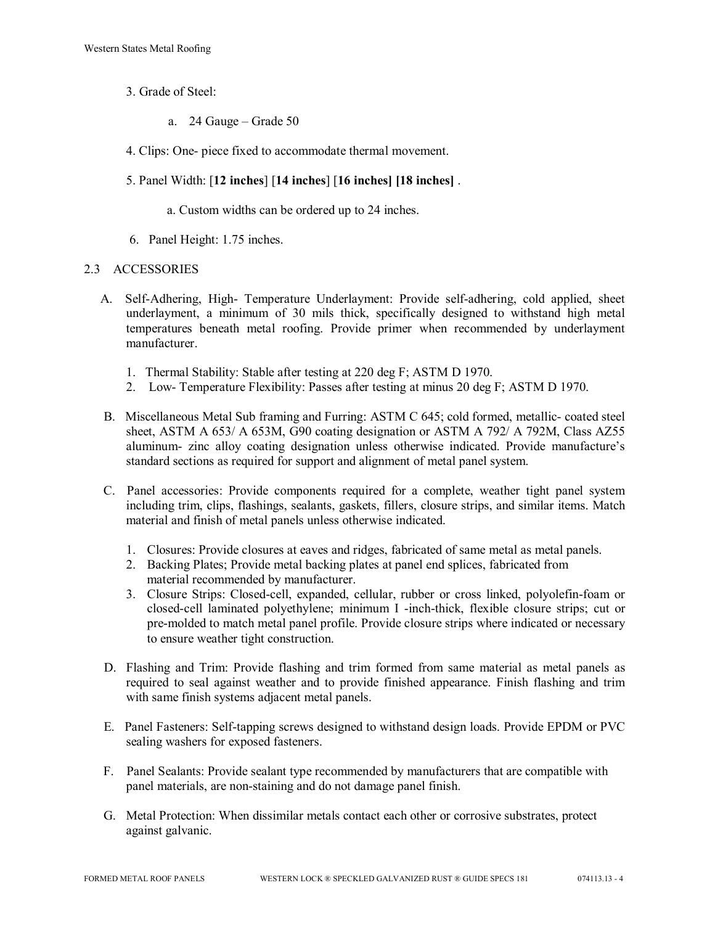- 3. Grade of Steel:
	- a. 24 Gauge Grade 50
- 4. Clips: One- piece fixed to accommodate thermal movement.
- 5. Panel Width: [**12 inches**] [**14 inches**] [**16 inches] [18 inches]** .
	- a. Custom widths can be ordered up to 24 inches.
- 6. Panel Height: 1.75 inches.

#### 2.3 ACCESSORIES

- A. Self-Adhering, High- Temperature Underlayment: Provide self-adhering, cold applied, sheet underlayment, a minimum of 30 mils thick, specifically designed to withstand high metal temperatures beneath metal roofing. Provide primer when recommended by underlayment manufacturer.
	- 1. Thermal Stability: Stable after testing at 220 deg F; ASTM D 1970.
	- 2. Low- Temperature Flexibility: Passes after testing at minus 20 deg F; ASTM D 1970.
- B. Miscellaneous Metal Sub framing and Furring: ASTM C 645; cold formed, metallic- coated steel sheet, ASTM A 653/ A 653M, G90 coating designation or ASTM A 792/ A 792M, Class AZ55 aluminum- zinc alloy coating designation unless otherwise indicated. Provide manufacture's standard sections as required for support and alignment of metal panel system.
- C. Panel accessories: Provide components required for a complete, weather tight panel system including trim, clips, flashings, sealants, gaskets, fillers, closure strips, and similar items. Match material and finish of metal panels unless otherwise indicated.
	- 1. Closures: Provide closures at eaves and ridges, fabricated of same metal as metal panels.
	- 2. Backing Plates; Provide metal backing plates at panel end splices, fabricated from material recommended by manufacturer.
	- 3. Closure Strips: Closed-cell, expanded, cellular, rubber or cross linked, polyolefin-foam or closed-cell laminated polyethylene; minimum I -inch-thick, flexible closure strips; cut or pre-molded to match metal panel profile. Provide closure strips where indicated or necessary to ensure weather tight construction.
- D. Flashing and Trim: Provide flashing and trim formed from same material as metal panels as required to seal against weather and to provide finished appearance. Finish flashing and trim with same finish systems adjacent metal panels.
- E. Panel Fasteners: Self-tapping screws designed to withstand design loads. Provide EPDM or PVC sealing washers for exposed fasteners.
- F. Panel Sealants: Provide sealant type recommended by manufacturers that are compatible with panel materials, are non-staining and do not damage panel finish.
- G. Metal Protection: When dissimilar metals contact each other or corrosive substrates, protect against galvanic.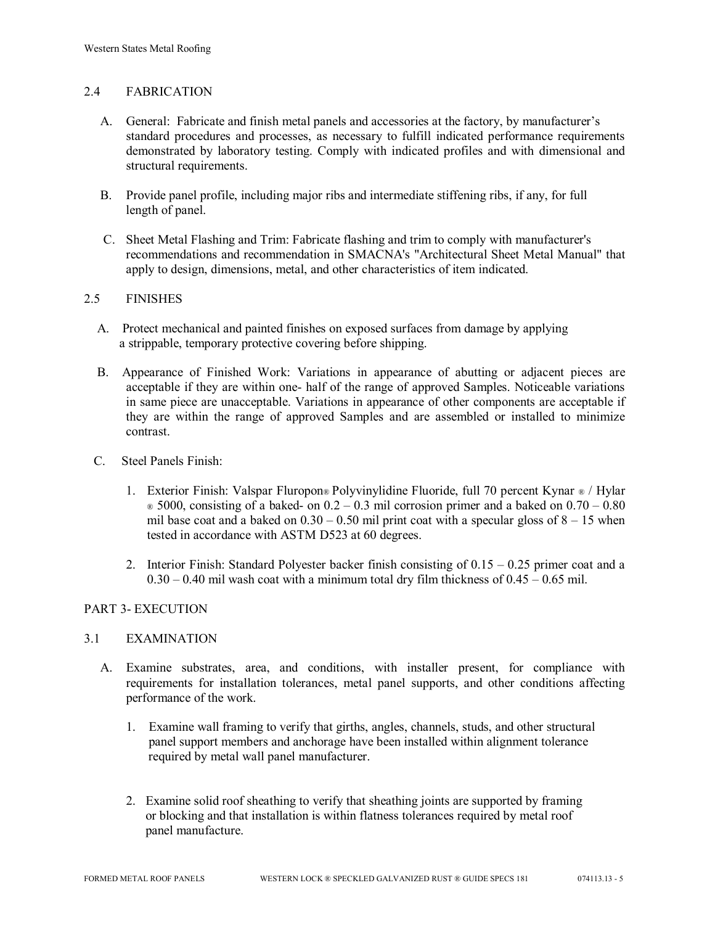# 2.4 FABRICATION

- A. General: Fabricate and finish metal panels and accessories at the factory, by manufacturer's standard procedures and processes, as necessary to fulfill indicated performance requirements demonstrated by laboratory testing. Comply with indicated profiles and with dimensional and structural requirements.
- B. Provide panel profile, including major ribs and intermediate stiffening ribs, if any, for full length of panel.
- C. Sheet Metal Flashing and Trim: Fabricate flashing and trim to comply with manufacturer's recommendations and recommendation in SMACNA's "Architectural Sheet Metal Manual" that apply to design, dimensions, metal, and other characteristics of item indicated.

#### 2.5 FINISHES

- A. Protect mechanical and painted finishes on exposed surfaces from damage by applying a strippable, temporary protective covering before shipping.
- B. Appearance of Finished Work: Variations in appearance of abutting or adjacent pieces are acceptable if they are within one- half of the range of approved Samples. Noticeable variations in same piece are unacceptable. Variations in appearance of other components are acceptable if they are within the range of approved Samples and are assembled or installed to minimize contrast.
- C. Steel Panels Finish:
	- 1. Exterior Finish: Valspar Fluropon® Polyvinylidine Fluoride, full 70 percent Kynar ® / Hylar  $\in$  5000, consisting of a baked- on 0.2 – 0.3 mil corrosion primer and a baked on 0.70 – 0.80 mil base coat and a baked on  $0.30 - 0.50$  mil print coat with a specular gloss of  $8 - 15$  when tested in accordance with ASTM D523 at 60 degrees.
	- 2. Interior Finish: Standard Polyester backer finish consisting of  $0.15 0.25$  primer coat and a  $0.30 - 0.40$  mil wash coat with a minimum total dry film thickness of  $0.45 - 0.65$  mil.

#### PART 3- EXECUTION

#### 3.1 EXAMINATION

- A. Examine substrates, area, and conditions, with installer present, for compliance with requirements for installation tolerances, metal panel supports, and other conditions affecting performance of the work.
	- 1. Examine wall framing to verify that girths, angles, channels, studs, and other structural panel support members and anchorage have been installed within alignment tolerance required by metal wall panel manufacturer.
	- 2. Examine solid roof sheathing to verify that sheathing joints are supported by framing or blocking and that installation is within flatness tolerances required by metal roof panel manufacture.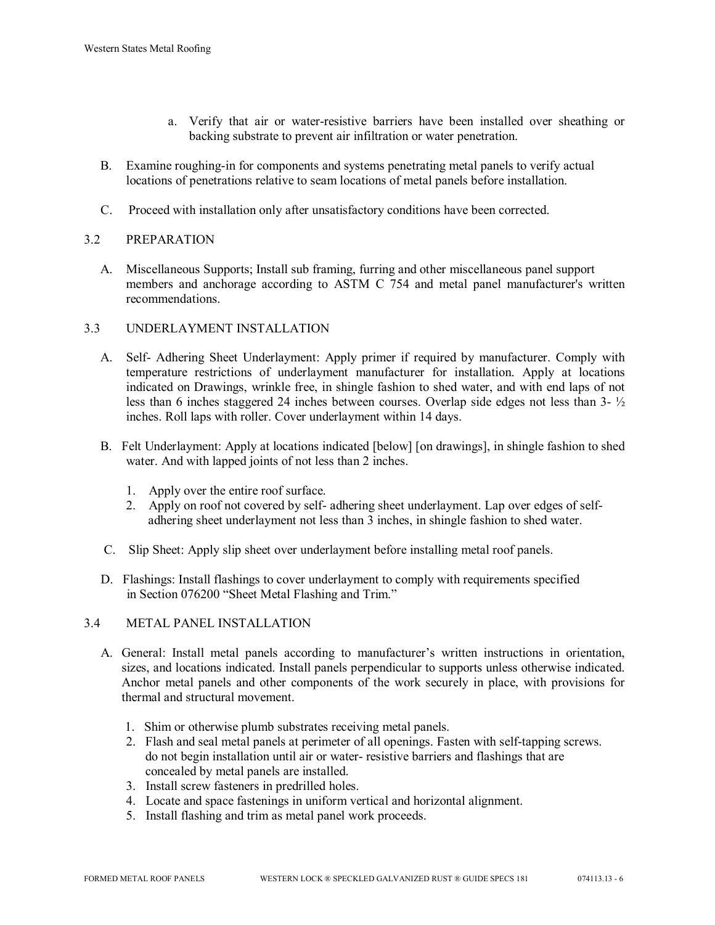- a. Verify that air or water-resistive barriers have been installed over sheathing or backing substrate to prevent air infiltration or water penetration.
- B. Examine roughing-in for components and systems penetrating metal panels to verify actual locations of penetrations relative to seam locations of metal panels before installation.
- C. Proceed with installation only after unsatisfactory conditions have been corrected.

# 3.2 PREPARATION

 A. Miscellaneous Supports; Install sub framing, furring and other miscellaneous panel support members and anchorage according to ASTM C 754 and metal panel manufacturer's written recommendations.

# 3.3 UNDERLAYMENT INSTALLATION

- A. Self- Adhering Sheet Underlayment: Apply primer if required by manufacturer. Comply with temperature restrictions of underlayment manufacturer for installation. Apply at locations indicated on Drawings, wrinkle free, in shingle fashion to shed water, and with end laps of not less than 6 inches staggered 24 inches between courses. Overlap side edges not less than 3- ½ inches. Roll laps with roller. Cover underlayment within 14 days.
- B. Felt Underlayment: Apply at locations indicated [below] [on drawings], in shingle fashion to shed water. And with lapped joints of not less than 2 inches.
	- 1. Apply over the entire roof surface.
	- 2. Apply on roof not covered by self- adhering sheet underlayment. Lap over edges of self adhering sheet underlayment not less than 3 inches, in shingle fashion to shed water.
- C. Slip Sheet: Apply slip sheet over underlayment before installing metal roof panels.
- D. Flashings: Install flashings to cover underlayment to comply with requirements specified in Section 076200 "Sheet Metal Flashing and Trim."

#### 3.4 METAL PANEL INSTALLATION

- A. General: Install metal panels according to manufacturer's written instructions in orientation, sizes, and locations indicated. Install panels perpendicular to supports unless otherwise indicated. Anchor metal panels and other components of the work securely in place, with provisions for thermal and structural movement.
	- 1. Shim or otherwise plumb substrates receiving metal panels.
	- 2. Flash and seal metal panels at perimeter of all openings. Fasten with self-tapping screws. do not begin installation until air or water- resistive barriers and flashings that are concealed by metal panels are installed.
	- 3. Install screw fasteners in predrilled holes.
	- 4. Locate and space fastenings in uniform vertical and horizontal alignment.
	- 5. Install flashing and trim as metal panel work proceeds.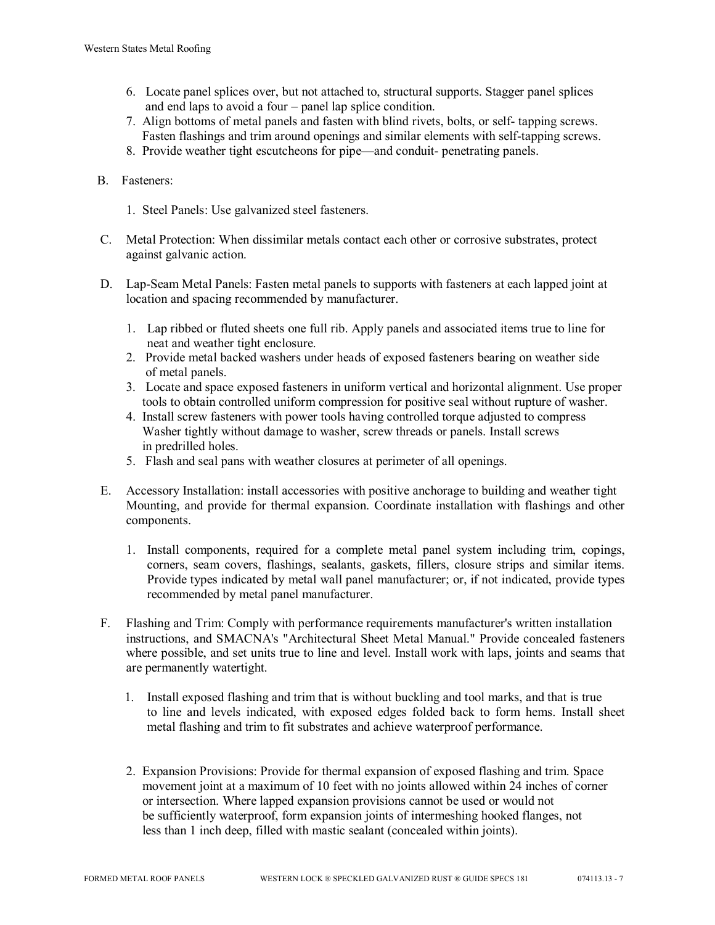- 6. Locate panel splices over, but not attached to, structural supports. Stagger panel splices and end laps to avoid a four – panel lap splice condition.
- 7. Align bottoms of metal panels and fasten with blind rivets, bolts, or self- tapping screws. Fasten flashings and trim around openings and similar elements with self-tapping screws.
- 8. Provide weather tight escutcheons for pipe—and conduit- penetrating panels.
- B. Fasteners:
	- 1. Steel Panels: Use galvanized steel fasteners.
- C. Metal Protection: When dissimilar metals contact each other or corrosive substrates, protect against galvanic action.
- D. Lap-Seam Metal Panels: Fasten metal panels to supports with fasteners at each lapped joint at location and spacing recommended by manufacturer.
	- 1. Lap ribbed or fluted sheets one full rib. Apply panels and associated items true to line for neat and weather tight enclosure.
	- 2. Provide metal backed washers under heads of exposed fasteners bearing on weather side of metal panels.
	- 3. Locate and space exposed fasteners in uniform vertical and horizontal alignment. Use proper tools to obtain controlled uniform compression for positive seal without rupture of washer.
	- 4. Install screw fasteners with power tools having controlled torque adjusted to compress Washer tightly without damage to washer, screw threads or panels. Install screws in predrilled holes.
	- 5. Flash and seal pans with weather closures at perimeter of all openings.
- E. Accessory Installation: install accessories with positive anchorage to building and weather tight Mounting, and provide for thermal expansion. Coordinate installation with flashings and other components.
	- 1. Install components, required for a complete metal panel system including trim, copings, corners, seam covers, flashings, sealants, gaskets, fillers, closure strips and similar items. Provide types indicated by metal wall panel manufacturer; or, if not indicated, provide types recommended by metal panel manufacturer.
- F. Flashing and Trim: Comply with performance requirements manufacturer's written installation instructions, and SMACNA's "Architectural Sheet Metal Manual." Provide concealed fasteners where possible, and set units true to line and level. Install work with laps, joints and seams that are permanently watertight.
	- 1. Install exposed flashing and trim that is without buckling and tool marks, and that is true to line and levels indicated, with exposed edges folded back to form hems. Install sheet metal flashing and trim to fit substrates and achieve waterproof performance.
	- 2. Expansion Provisions: Provide for thermal expansion of exposed flashing and trim. Space movement joint at a maximum of 10 feet with no joints allowed within 24 inches of corner or intersection. Where lapped expansion provisions cannot be used or would not be sufficiently waterproof, form expansion joints of intermeshing hooked flanges, not less than 1 inch deep, filled with mastic sealant (concealed within joints).